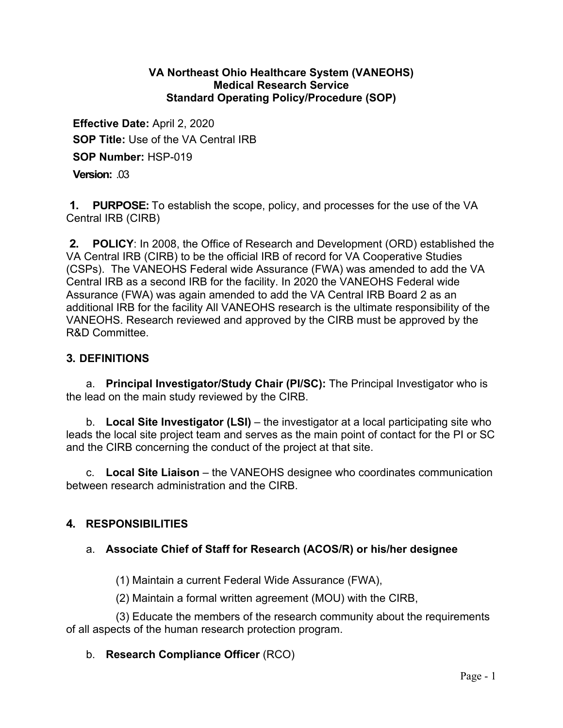### **VA Northeast Ohio Healthcare System (VANEOHS) Medical Research Service Standard Operating Policy/Procedure (SOP)**

**Effective Date:** April 2, 2020 **SOP Title:** Use of the VA Central IRB **SOP Number:** HSP-019

**Version:** .03

**1. PURPOSE:** To establish the scope, policy, and processes for the use of the VA Central IRB (CIRB)

**2. POLICY**: In 2008, the Office of Research and Development (ORD) established the VA Central IRB (CIRB) to be the official IRB of record for VA Cooperative Studies (CSPs). The VANEOHS Federal wide Assurance (FWA) was amended to add the VA Central IRB as a second IRB for the facility. In 2020 the VANEOHS Federal wide Assurance (FWA) was again amended to add the VA Central IRB Board 2 as an additional IRB for the facility All VANEOHS research is the ultimate responsibility of the VANEOHS. Research reviewed and approved by the CIRB must be approved by the R&D Committee.

## **3. DEFINITIONS**

a. **Principal Investigator/Study Chair (PI/SC):** The Principal Investigator who is the lead on the main study reviewed by the CIRB.

b. **Local Site Investigator (LSI)** – the investigator at a local participating site who leads the local site project team and serves as the main point of contact for the PI or SC and the CIRB concerning the conduct of the project at that site.

c. **Local Site Liaison** – the VANEOHS designee who coordinates communication between research administration and the CIRB.

## **4. RESPONSIBILITIES**

### a. **Associate Chief of Staff for Research (ACOS/R) or his/her designee**

(1) Maintain a current Federal Wide Assurance (FWA),

(2) Maintain a formal written agreement (MOU) with the CIRB,

(3) Educate the members of the research community about the requirements of all aspects of the human research protection program.

### b. **Research Compliance Officer** (RCO)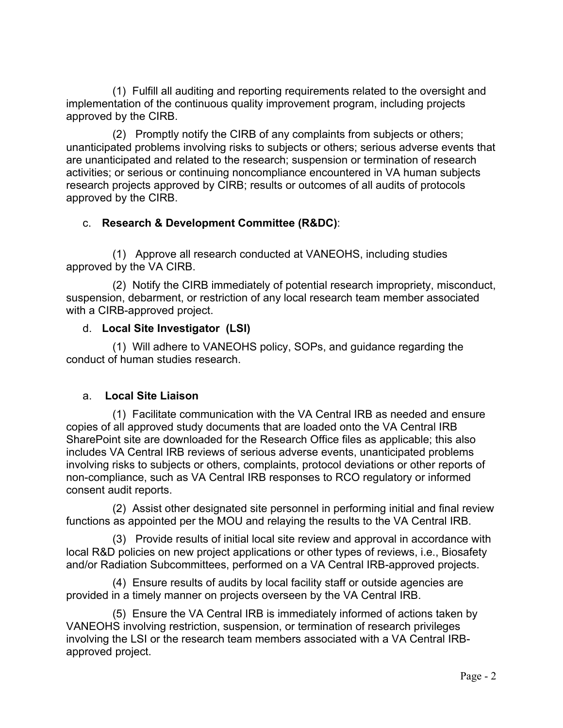(1) Fulfill all auditing and reporting requirements related to the oversight and implementation of the continuous quality improvement program, including projects approved by the CIRB.

(2) Promptly notify the CIRB of any complaints from subjects or others; unanticipated problems involving risks to subjects or others; serious adverse events that are unanticipated and related to the research; suspension or termination of research activities; or serious or continuing noncompliance encountered in VA human subjects research projects approved by CIRB; results or outcomes of all audits of protocols approved by the CIRB.

# c. **Research & Development Committee (R&DC)**:

(1) Approve all research conducted at VANEOHS, including studies approved by the VA CIRB.

(2) Notify the CIRB immediately of potential research impropriety, misconduct, suspension, debarment, or restriction of any local research team member associated with a CIRB-approved project.

## d. **Local Site Investigator (LSI)**

(1) Will adhere to VANEOHS policy, SOPs, and guidance regarding the conduct of human studies research.

#### a. a. **Local Site Liaison**

(1) Facilitate communication with the VA Central IRB as needed and ensure copies of all approved study documents that are loaded onto the VA Central IRB SharePoint site are downloaded for the Research Office files as applicable; this also includes VA Central IRB reviews of serious adverse events, unanticipated problems involving risks to subjects or others, complaints, protocol deviations or other reports of non-compliance, such as VA Central IRB responses to RCO regulatory or informed consent audit reports.

(2) Assist other designated site personnel in performing initial and final review functions as appointed per the MOU and relaying the results to the VA Central IRB.

(3) Provide results of initial local site review and approval in accordance with local R&D policies on new project applications or other types of reviews, i.e., Biosafety and/or Radiation Subcommittees, performed on a VA Central IRB-approved projects.

(4) Ensure results of audits by local facility staff or outside agencies are provided in a timely manner on projects overseen by the VA Central IRB.

(5) Ensure the VA Central IRB is immediately informed of actions taken by VANEOHS involving restriction, suspension, or termination of research privileges involving the LSI or the research team members associated with a VA Central IRBapproved project.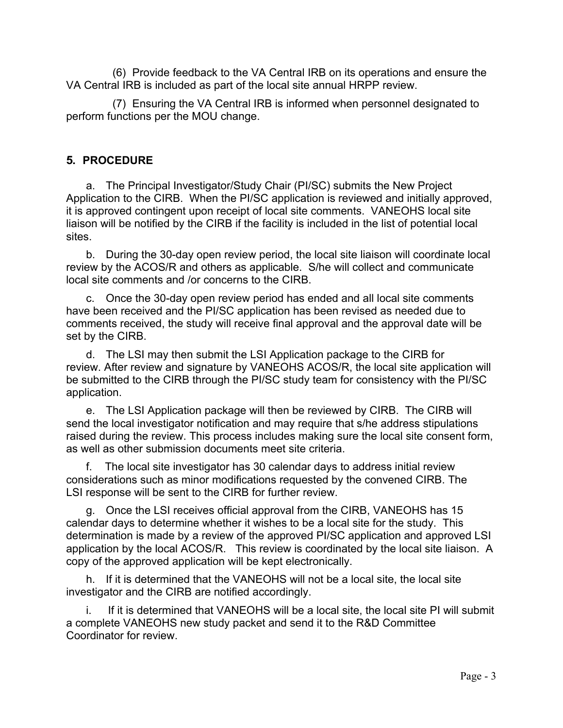(6) Provide feedback to the VA Central IRB on its operations and ensure the VA Central IRB is included as part of the local site annual HRPP review.

(7) Ensuring the VA Central IRB is informed when personnel designated to perform functions per the MOU change.

## **5. PROCEDURE**

a. The Principal Investigator/Study Chair (PI/SC) submits the New Project Application to the CIRB. When the PI/SC application is reviewed and initially approved, it is approved contingent upon receipt of local site comments. VANEOHS local site liaison will be notified by the CIRB if the facility is included in the list of potential local sites.

b. During the 30-day open review period, the local site liaison will coordinate local review by the ACOS/R and others as applicable. S/he will collect and communicate local site comments and /or concerns to the CIRB.

c. Once the 30-day open review period has ended and all local site comments have been received and the PI/SC application has been revised as needed due to comments received, the study will receive final approval and the approval date will be set by the CIRB.

application. d. The LSI may then submit the LSI Application package to the CIRB for review. After review and signature by VANEOHS ACOS/R, the local site application will be submitted to the CIRB through the PI/SC study team for consistency with the PI/SC

e. The LSI Application package will then be reviewed by CIRB. The CIRB will send the local investigator notification and may require that s/he address stipulations raised during the review. This process includes making sure the local site consent form, as well as other submission documents meet site criteria.

f. The local site investigator has 30 calendar days to address initial review considerations such as minor modifications requested by the convened CIRB. The LSI response will be sent to the CIRB for further review.

g. Once the LSI receives official approval from the CIRB, VANEOHS has 15 calendar days to determine whether it wishes to be a local site for the study. This determination is made by a review of the approved PI/SC application and approved LSI application by the local ACOS/R. This review is coordinated by the local site liaison. A copy of the approved application will be kept electronically.

h. If it is determined that the VANEOHS will not be a local site, the local site investigator and the CIRB are notified accordingly.

i. If it is determined that VANEOHS will be a local site, the local site PI will submit a complete VANEOHS new study packet and send it to the R&D Committee Coordinator for review.